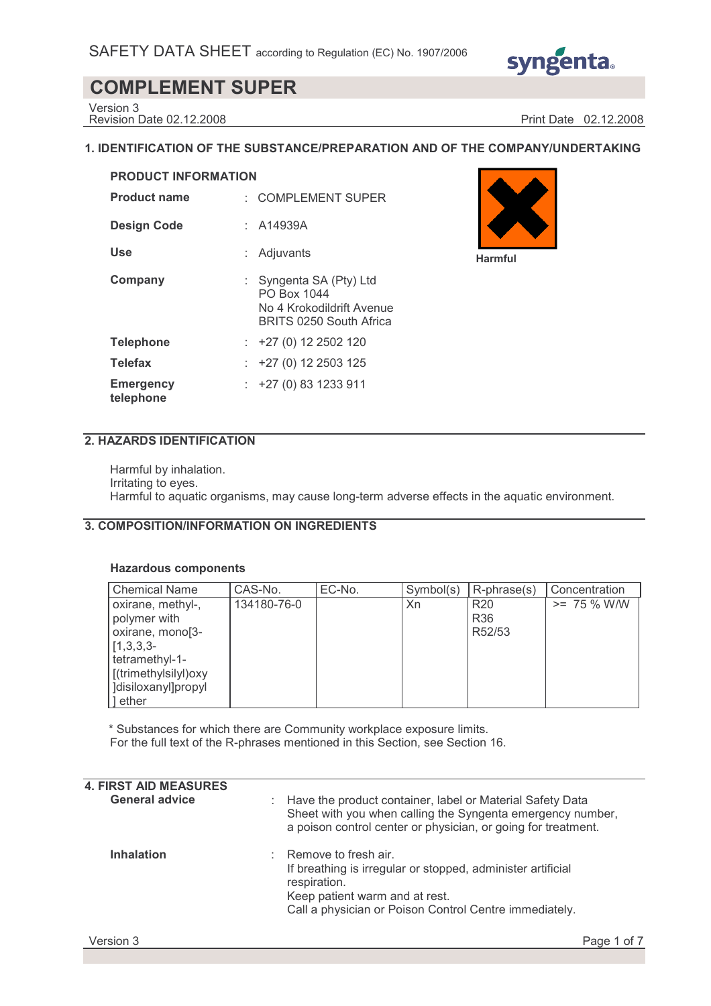

Version 3

Revision Date 02.12.2008 Print Date 02.12.2008

## **1. IDENTIFICATION OF THE SUBSTANCE/PREPARATION AND OF THE COMPANY/UNDERTAKING**

| <b>PRODUCT INFORMATION</b>    |    |                                                                                              |  |  |  |
|-------------------------------|----|----------------------------------------------------------------------------------------------|--|--|--|
| <b>Product name</b>           |    | : COMPLEMENT SUPER                                                                           |  |  |  |
| <b>Design Code</b>            |    | : A14939A                                                                                    |  |  |  |
| Use                           |    | Adjuvants                                                                                    |  |  |  |
| Company                       | t. | Syngenta SA (Pty) Ltd<br>PO Box 1044<br>No 4 Krokodildrift Avenue<br>BRITS 0250 South Africa |  |  |  |
| <b>Telephone</b>              |    | $: +27(0)122502120$                                                                          |  |  |  |
| <b>Telefax</b>                |    | $\div$ +27 (0) 12 2503 125                                                                   |  |  |  |
| <b>Emergency</b><br>telephone |    | $: +27(0)831233911$                                                                          |  |  |  |



## **2. HAZARDS IDENTIFICATION**

Harmful by inhalation. Irritating to eyes. Harmful to aquatic organisms, may cause long-term adverse effects in the aquatic environment.

## **3. COMPOSITION/INFORMATION ON INGREDIENTS**

## **Hazardous components**

| <b>Chemical Name</b>                                                                                                                            | CAS-No.     | EC-No. | Symbol(s) | $R$ -phrase $(s)$                       | Concentration  |
|-------------------------------------------------------------------------------------------------------------------------------------------------|-------------|--------|-----------|-----------------------------------------|----------------|
| oxirane, methyl-,<br>polymer with<br>oxirane, mono[3-<br>$[1,3,3,3-$<br>tetramethyl-1-<br>[(trimethylsilyl)oxy<br>disiloxanyl]propyl<br>1 ether | 134180-76-0 |        | Xn        | R <sub>20</sub><br><b>R36</b><br>R52/53 | $>= 75 \%$ W/W |

\* Substances for which there are Community workplace exposure limits. For the full text of the R-phrases mentioned in this Section, see Section 16.

| <b>4. FIRST AID MEASURES</b> |    |                                                                                                                                                                                                 |
|------------------------------|----|-------------------------------------------------------------------------------------------------------------------------------------------------------------------------------------------------|
| <b>General advice</b>        |    | : Have the product container, label or Material Safety Data<br>Sheet with you when calling the Syngenta emergency number,<br>a poison control center or physician, or going for treatment.      |
| <b>Inhalation</b>            | ÷. | Remove to fresh air.<br>If breathing is irregular or stopped, administer artificial<br>respiration.<br>Keep patient warm and at rest.<br>Call a physician or Poison Control Centre immediately. |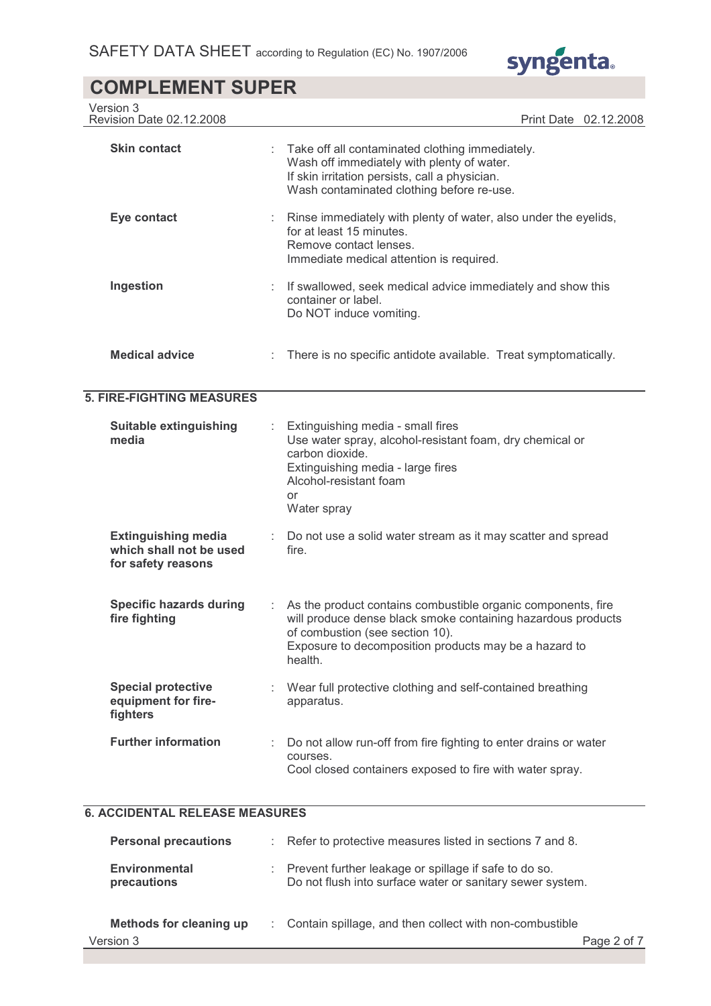

| Version 3<br>Revision Date 02.12.2008                                       | Print Date 02.12.2008                                                                                                                                                                                                               |
|-----------------------------------------------------------------------------|-------------------------------------------------------------------------------------------------------------------------------------------------------------------------------------------------------------------------------------|
| <b>Skin contact</b>                                                         | Take off all contaminated clothing immediately.<br>Wash off immediately with plenty of water.<br>If skin irritation persists, call a physician.<br>Wash contaminated clothing before re-use.                                        |
| Eye contact                                                                 | Rinse immediately with plenty of water, also under the eyelids,<br>for at least 15 minutes.<br>Remove contact lenses.<br>Immediate medical attention is required.                                                                   |
| Ingestion                                                                   | : If swallowed, seek medical advice immediately and show this<br>container or label.<br>Do NOT induce vomiting.                                                                                                                     |
| <b>Medical advice</b>                                                       | There is no specific antidote available. Treat symptomatically.                                                                                                                                                                     |
| <b>5. FIRE-FIGHTING MEASURES</b>                                            |                                                                                                                                                                                                                                     |
| <b>Suitable extinguishing</b><br>media                                      | Extinguishing media - small fires<br>Use water spray, alcohol-resistant foam, dry chemical or<br>carbon dioxide.<br>Extinguishing media - large fires<br>Alcohol-resistant foam<br>or<br>Water spray                                |
| <b>Extinguishing media</b><br>which shall not be used<br>for safety reasons | Do not use a solid water stream as it may scatter and spread<br>fire.                                                                                                                                                               |
| <b>Specific hazards during</b><br>fire fighting                             | As the product contains combustible organic components, fire<br>will produce dense black smoke containing hazardous products<br>of combustion (see section 10).<br>Exposure to decomposition products may be a hazard to<br>health. |
| <b>Special protective</b><br>equipment for fire-<br>fighters                | Wear full protective clothing and self-contained breathing<br>apparatus.                                                                                                                                                            |
| <b>Further information</b>                                                  | Do not allow run-off from fire fighting to enter drains or water<br>courses.<br>Cool closed containers exposed to fire with water spray.                                                                                            |

## **6. ACCIDENTAL RELEASE MEASURES**

| <b>Personal precautions</b>         | : Refer to protective measures listed in sections 7 and 8.                                                         |
|-------------------------------------|--------------------------------------------------------------------------------------------------------------------|
| <b>Environmental</b><br>precautions | Prevent further leakage or spillage if safe to do so.<br>Do not flush into surface water or sanitary sewer system. |
| Methods for cleaning up             | : Contain spillage, and then collect with non-combustible                                                          |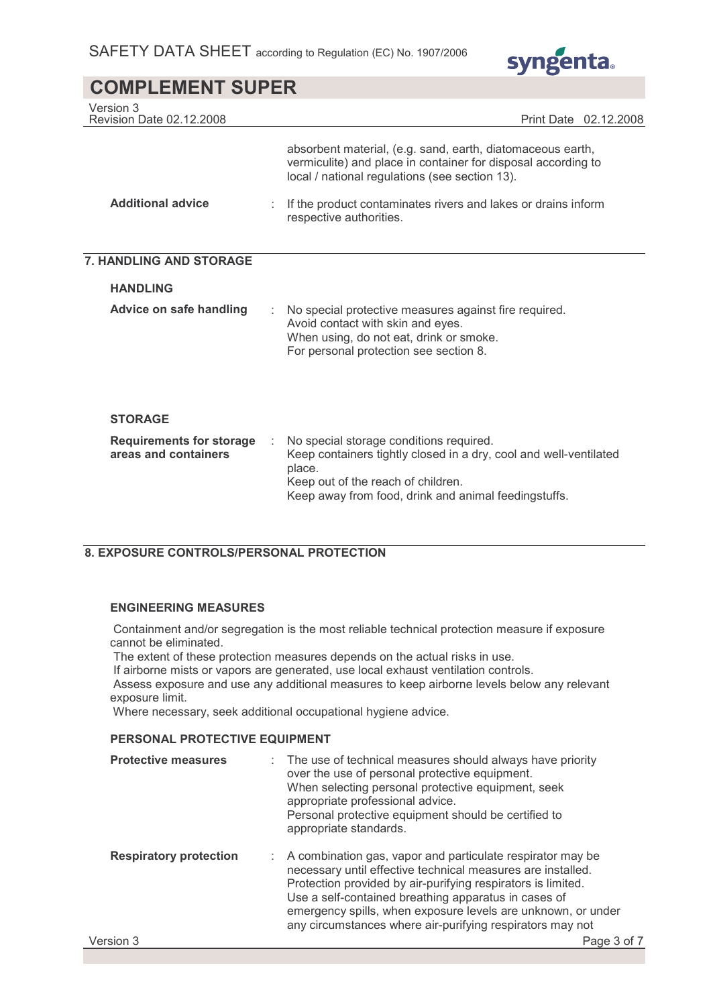

| Version 3<br>Revision Date 02.12.2008                   |                                                                                                                                                                                                                      | Print Date 02.12.2008 |
|---------------------------------------------------------|----------------------------------------------------------------------------------------------------------------------------------------------------------------------------------------------------------------------|-----------------------|
|                                                         | absorbent material, (e.g. sand, earth, diatomaceous earth,<br>vermiculite) and place in container for disposal according to<br>local / national regulations (see section 13).                                        |                       |
| <b>Additional advice</b>                                | If the product contaminates rivers and lakes or drains inform<br>respective authorities.                                                                                                                             |                       |
| 7. HANDLING AND STORAGE                                 |                                                                                                                                                                                                                      |                       |
| <b>HANDLING</b>                                         |                                                                                                                                                                                                                      |                       |
| Advice on safe handling                                 | No special protective measures against fire required.<br>Avoid contact with skin and eyes.<br>When using, do not eat, drink or smoke.<br>For personal protection see section 8.                                      |                       |
| <b>STORAGE</b>                                          |                                                                                                                                                                                                                      |                       |
| <b>Requirements for storage</b><br>areas and containers | No special storage conditions required.<br>Keep containers tightly closed in a dry, cool and well-ventilated<br>place.<br>Keep out of the reach of children.<br>Keep away from food, drink and animal feedingstuffs. |                       |

## **8. EXPOSURE CONTROLS/PERSONAL PROTECTION**

### **ENGINEERING MEASURES**

 Containment and/or segregation is the most reliable technical protection measure if exposure cannot be eliminated.

The extent of these protection measures depends on the actual risks in use.

If airborne mists or vapors are generated, use local exhaust ventilation controls.

 Assess exposure and use any additional measures to keep airborne levels below any relevant exposure limit.

Where necessary, seek additional occupational hygiene advice.

## **PERSONAL PROTECTIVE EQUIPMENT**

| <b>Protective measures</b>    | : The use of technical measures should always have priority<br>over the use of personal protective equipment.<br>When selecting personal protective equipment, seek<br>appropriate professional advice.<br>Personal protective equipment should be certified to<br>appropriate standards.                                                                                        |
|-------------------------------|----------------------------------------------------------------------------------------------------------------------------------------------------------------------------------------------------------------------------------------------------------------------------------------------------------------------------------------------------------------------------------|
| <b>Respiratory protection</b> | : A combination gas, vapor and particulate respirator may be<br>necessary until effective technical measures are installed.<br>Protection provided by air-purifying respirators is limited.<br>Use a self-contained breathing apparatus in cases of<br>emergency spills, when exposure levels are unknown, or under<br>any circumstances where air-purifying respirators may not |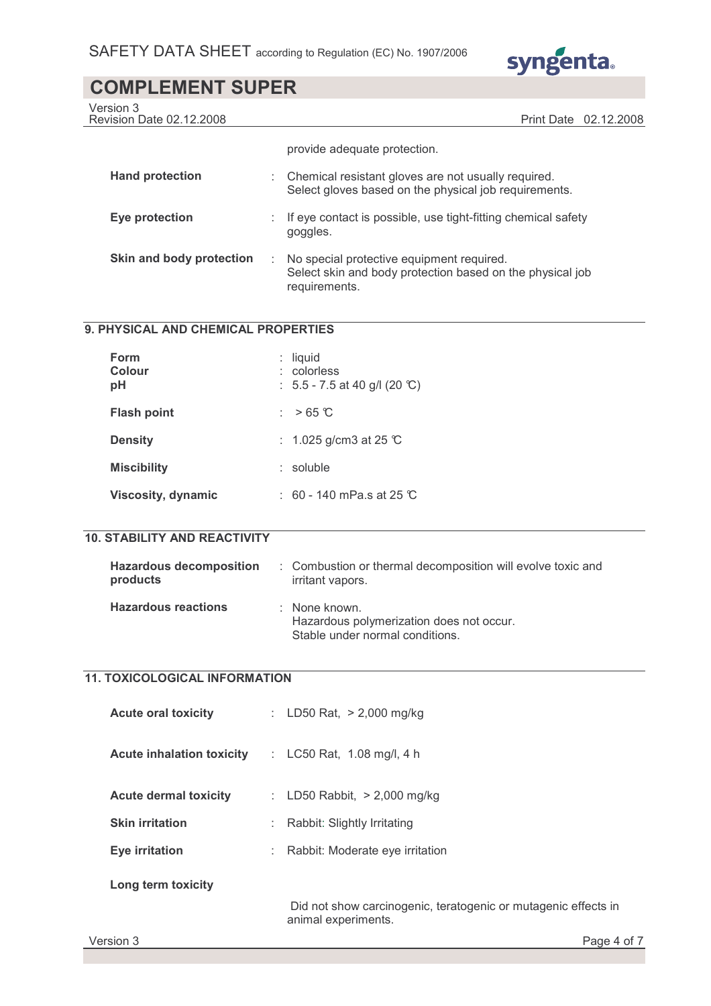

Version 3

Revision Date 02.12.2008 Print Date 02.12.2008

|                          |   | provide adequate protection.                                                                                            |
|--------------------------|---|-------------------------------------------------------------------------------------------------------------------------|
| <b>Hand protection</b>   |   | : Chemical resistant gloves are not usually required.<br>Select gloves based on the physical job requirements.          |
| Eye protection           |   | If eye contact is possible, use tight-fitting chemical safety<br>goggles.                                               |
| Skin and body protection | ÷ | No special protective equipment required.<br>Select skin and body protection based on the physical job<br>requirements. |

## **9. PHYSICAL AND CHEMICAL PROPERTIES**

| Form<br>Colour<br>рH      | $:$ liquid<br>: colorless<br>: $5.5 - 7.5$ at 40 g/l (20 °C) |
|---------------------------|--------------------------------------------------------------|
| <b>Flash point</b>        | : $>65^\circ$ C                                              |
| <b>Density</b>            | : 1.025 g/cm3 at 25 $\degree$ C                              |
| <b>Miscibility</b>        | $:$ soluble                                                  |
| <b>Viscosity, dynamic</b> | $\div$ 60 - 140 mPa.s at 25 $\degree$ C                      |

## **10. STABILITY AND REACTIVITY**

| <b>Hazardous decomposition</b><br>products | : Combustion or thermal decomposition will evolve toxic and<br>irritant vapors.              |
|--------------------------------------------|----------------------------------------------------------------------------------------------|
| <b>Hazardous reactions</b>                 | : None known.<br>Hazardous polymerization does not occur.<br>Stable under normal conditions. |

## **11. TOXICOLOGICAL INFORMATION**

| <b>Acute oral toxicity</b>       | : LD50 Rat, $> 2,000$ mg/kg                                                           |
|----------------------------------|---------------------------------------------------------------------------------------|
| <b>Acute inhalation toxicity</b> | : LC50 Rat, 1.08 mg/l, 4 h                                                            |
| <b>Acute dermal toxicity</b>     | : LD50 Rabbit, $> 2,000$ mg/kg                                                        |
| <b>Skin irritation</b>           | Rabbit: Slightly Irritating                                                           |
| <b>Eye irritation</b>            | Rabbit: Moderate eye irritation                                                       |
| Long term toxicity               |                                                                                       |
|                                  | Did not show carcinogenic, teratogenic or mutagenic effects in<br>animal experiments. |
| Version 3                        | Page 4 of 7                                                                           |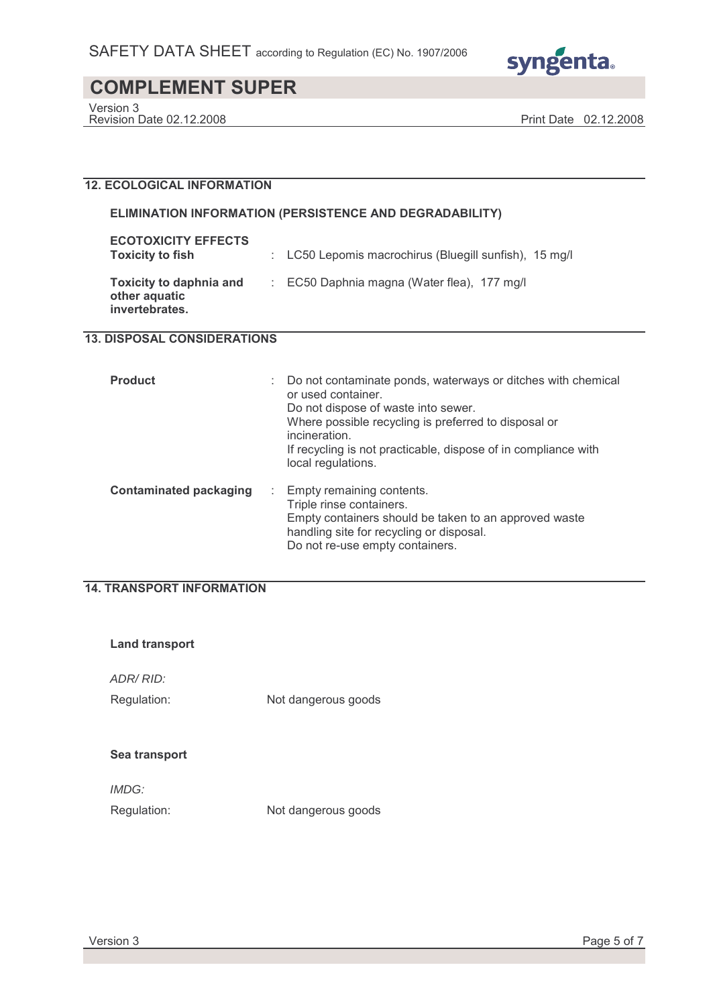

Version 3

Revision Date 02.12.2008 Print Date 02.12.2008

#### **12. ECOLOGICAL INFORMATION**

#### **ELIMINATION INFORMATION (PERSISTENCE AND DEGRADABILITY)**

| <b>ECOTOXICITY EFFECTS</b><br><b>Toxicity to fish</b>             | : LC50 Lepomis macrochirus (Bluegill sunfish), 15 mg/l |
|-------------------------------------------------------------------|--------------------------------------------------------|
| <b>Toxicity to daphnia and</b><br>other aquatic<br>invertebrates. | $\therefore$ EC50 Daphnia magna (Water flea), 177 mg/l |

## **13. DISPOSAL CONSIDERATIONS**

| <b>Product</b>                     | Do not contaminate ponds, waterways or ditches with chemical<br>or used container.<br>Do not dispose of waste into sewer.<br>Where possible recycling is preferred to disposal or<br>incineration.<br>If recycling is not practicable, dispose of in compliance with<br>local regulations. |
|------------------------------------|--------------------------------------------------------------------------------------------------------------------------------------------------------------------------------------------------------------------------------------------------------------------------------------------|
| <b>Contaminated packaging</b><br>÷ | Empty remaining contents.<br>Triple rinse containers.<br>Empty containers should be taken to an approved waste<br>handling site for recycling or disposal.<br>Do not re-use empty containers.                                                                                              |

## **14. TRANSPORT INFORMATION**

| Land transport              |                     |
|-----------------------------|---------------------|
| ADR/RID:<br>Regulation:     | Not dangerous goods |
| Sea transport               |                     |
| <i>IMDG:</i><br>Regulation: | Not dangerous goods |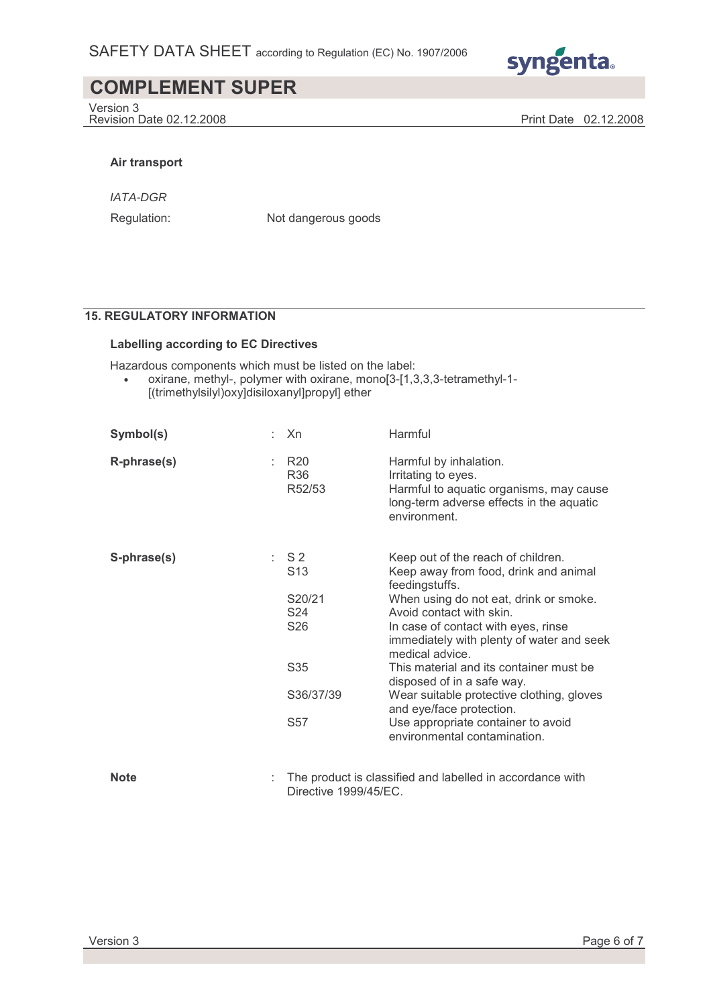

Version 3 Revision Date 02.12.2008 Print Date 02.12.2008

#### **Air transport**

IATA-DGR

Regulation: Not dangerous goods

## **15. REGULATORY INFORMATION**

#### **Labelling according to EC Directives**

Hazardous components which must be listed on the label:

• oxirane, methyl-, polymer with oxirane, mono[3-[1,3,3,3-tetramethyl-1- [(trimethylsilyl)oxy]disiloxanyl]propyl] ether

| Symbol(s)   | Xn                                                         | Harmful                                                                                                                                                                                                                                                                    |
|-------------|------------------------------------------------------------|----------------------------------------------------------------------------------------------------------------------------------------------------------------------------------------------------------------------------------------------------------------------------|
| R-phrase(s) | <b>R20</b><br>R36<br>R52/53                                | Harmful by inhalation.<br>Irritating to eyes.<br>Harmful to aquatic organisms, may cause<br>long-term adverse effects in the aquatic<br>environment.                                                                                                                       |
| S-phrase(s) | SS2<br>S <sub>13</sub><br>S20/21<br>S24<br>S <sub>26</sub> | Keep out of the reach of children.<br>Keep away from food, drink and animal<br>feedingstuffs.<br>When using do not eat, drink or smoke.<br>Avoid contact with skin.<br>In case of contact with eyes, rinse<br>immediately with plenty of water and seek<br>medical advice. |
|             | S35                                                        | This material and its container must be<br>disposed of in a safe way.                                                                                                                                                                                                      |
|             | S36/37/39                                                  | Wear suitable protective clothing, gloves<br>and eye/face protection.                                                                                                                                                                                                      |
|             | S57                                                        | Use appropriate container to avoid<br>environmental contamination.                                                                                                                                                                                                         |
| <b>Note</b> | Directive 1999/45/EC.                                      | The product is classified and labelled in accordance with                                                                                                                                                                                                                  |